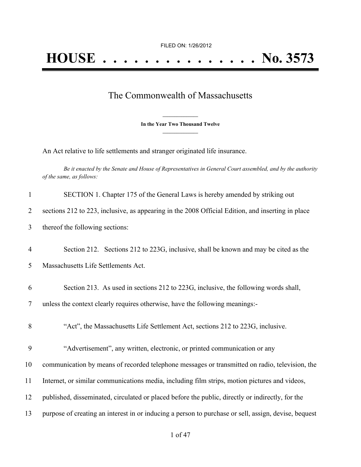## The Commonwealth of Massachusetts

**\_\_\_\_\_\_\_\_\_\_\_\_\_\_\_ In the Year Two Thousand Twelve \_\_\_\_\_\_\_\_\_\_\_\_\_\_\_**

An Act relative to life settlements and stranger originated life insurance.

Be it enacted by the Senate and House of Representatives in General Court assembled, and by the authority *of the same, as follows:*

| $\mathbf{1}$   | SECTION 1. Chapter 175 of the General Laws is hereby amended by striking out                         |
|----------------|------------------------------------------------------------------------------------------------------|
| $\overline{2}$ | sections 212 to 223, inclusive, as appearing in the 2008 Official Edition, and inserting in place    |
| 3              | thereof the following sections:                                                                      |
| $\overline{4}$ | Section 212. Sections 212 to 223G, inclusive, shall be known and may be cited as the                 |
| 5              | Massachusetts Life Settlements Act.                                                                  |
| 6              | Section 213. As used in sections 212 to 223G, inclusive, the following words shall,                  |
| $\tau$         | unless the context clearly requires otherwise, have the following meanings:-                         |
| 8              | "Act", the Massachusetts Life Settlement Act, sections 212 to 223G, inclusive.                       |
| 9              | "Advertisement", any written, electronic, or printed communication or any                            |
| 10             | communication by means of recorded telephone messages or transmitted on radio, television, the       |
| 11             | Internet, or similar communications media, including film strips, motion pictures and videos,        |
| 12             | published, disseminated, circulated or placed before the public, directly or indirectly, for the     |
| 13             | purpose of creating an interest in or inducing a person to purchase or sell, assign, devise, bequest |
|                |                                                                                                      |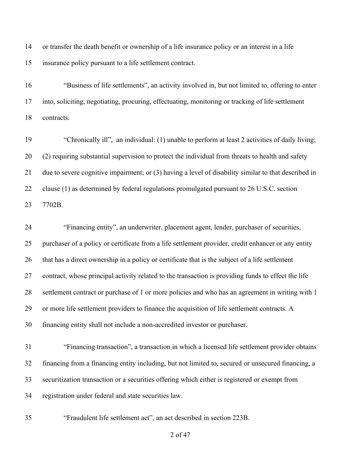or transfer the death benefit or ownership of a life insurance policy or an interest in a life insurance policy pursuant to a life settlement contract.

 "Business of life settlements", an activity involved in, but not limited to, offering to enter into, soliciting, negotiating, procuring, effectuating, monitoring or tracking of life settlement contracts.

 "Chronically ill", an individual: (1) unable to perform at least 2 activities of daily living; (2) requiring substantial supervision to protect the individual from threats to health and safety due to severe cognitive impairment; or (3) having a level of disability similar to that described in clause (1) as determined by federal regulations promulgated pursuant to 26 U.S.C. section 7702B.

 "Financing entity", an underwriter, placement agent, lender, purchaser of securities, purchaser of a policy or certificate from a life settlement provider, credit enhancer or any entity that has a direct ownership in a policy or certificate that is the subject of a life settlement contract, whose principal activity related to the transaction is providing funds to effect the life settlement contract or purchase of 1 or more policies and who has an agreement in writing with 1 or more life settlement providers to finance the acquisition of life settlement contracts. A financing entity shall not include a non-accredited investor or purchaser.

 "Financing transaction", a transaction in which a licensed life settlement provider obtains financing from a financing entity including, but not limited to, secured or unsecured financing, a securitization transaction or a securities offering which either is registered or exempt from registration under federal and state securities law.

"Fraudulent life settlement act", an act described in section 223B.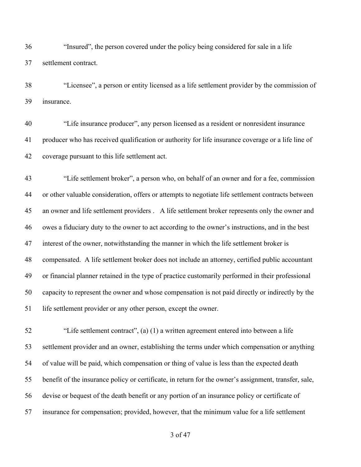"Insured", the person covered under the policy being considered for sale in a life settlement contract.

 "Licensee", a person or entity licensed as a life settlement provider by the commission of insurance.

 "Life insurance producer", any person licensed as a resident or nonresident insurance producer who has received qualification or authority for life insurance coverage or a life line of coverage pursuant to this life settlement act.

 "Life settlement broker", a person who, on behalf of an owner and for a fee, commission or other valuable consideration, offers or attempts to negotiate life settlement contracts between an owner and life settlement providers . A life settlement broker represents only the owner and owes a fiduciary duty to the owner to act according to the owner's instructions, and in the best interest of the owner, notwithstanding the manner in which the life settlement broker is compensated. A life settlement broker does not include an attorney, certified public accountant or financial planner retained in the type of practice customarily performed in their professional capacity to represent the owner and whose compensation is not paid directly or indirectly by the life settlement provider or any other person, except the owner.

 "Life settlement contract", (a) (1) a written agreement entered into between a life settlement provider and an owner, establishing the terms under which compensation or anything of value will be paid, which compensation or thing of value is less than the expected death benefit of the insurance policy or certificate, in return for the owner's assignment, transfer, sale, devise or bequest of the death benefit or any portion of an insurance policy or certificate of insurance for compensation; provided, however, that the minimum value for a life settlement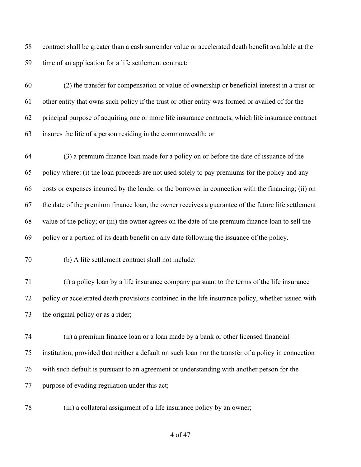contract shall be greater than a cash surrender value or accelerated death benefit available at the time of an application for a life settlement contract;

 (2) the transfer for compensation or value of ownership or beneficial interest in a trust or other entity that owns such policy if the trust or other entity was formed or availed of for the principal purpose of acquiring one or more life insurance contracts, which life insurance contract insures the life of a person residing in the commonwealth; or

 (3) a premium finance loan made for a policy on or before the date of issuance of the policy where: (i) the loan proceeds are not used solely to pay premiums for the policy and any costs or expenses incurred by the lender or the borrower in connection with the financing; (ii) on the date of the premium finance loan, the owner receives a guarantee of the future life settlement value of the policy; or (iii) the owner agrees on the date of the premium finance loan to sell the policy or a portion of its death benefit on any date following the issuance of the policy.

(b) A life settlement contract shall not include:

 (i) a policy loan by a life insurance company pursuant to the terms of the life insurance policy or accelerated death provisions contained in the life insurance policy, whether issued with the original policy or as a rider;

 (ii) a premium finance loan or a loan made by a bank or other licensed financial institution; provided that neither a default on such loan nor the transfer of a policy in connection with such default is pursuant to an agreement or understanding with another person for the purpose of evading regulation under this act;

(iii) a collateral assignment of a life insurance policy by an owner;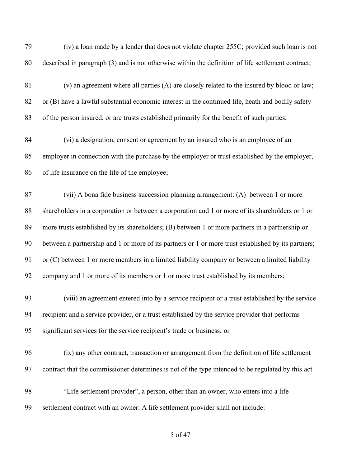| 79 | (iv) a loan made by a lender that does not violate chapter 255C; provided such loan is not          |
|----|-----------------------------------------------------------------------------------------------------|
| 80 | described in paragraph (3) and is not otherwise within the definition of life settlement contract;  |
| 81 | (v) an agreement where all parties (A) are closely related to the insured by blood or law;          |
| 82 | or (B) have a lawful substantial economic interest in the continued life, heath and bodily safety   |
| 83 | of the person insured, or are trusts established primarily for the benefit of such parties;         |
| 84 | (vi) a designation, consent or agreement by an insured who is an employee of an                     |
| 85 | employer in connection with the purchase by the employer or trust established by the employer,      |
| 86 | of life insurance on the life of the employee;                                                      |
| 87 | (vii) A bona fide business succession planning arrangement: (A) between 1 or more                   |
| 88 | shareholders in a corporation or between a corporation and 1 or more of its shareholders or 1 or    |
| 89 | more trusts established by its shareholders; (B) between 1 or more partners in a partnership or     |
| 90 | between a partnership and 1 or more of its partners or 1 or more trust established by its partners; |
| 91 | or (C) between 1 or more members in a limited liability company or between a limited liability      |
| 92 | company and 1 or more of its members or 1 or more trust established by its members;                 |
| 93 | (viii) an agreement entered into by a service recipient or a trust established by the service       |
| 94 | recipient and a service provider, or a trust established by the service provider that performs      |
| 95 | significant services for the service recipient's trade or business; or                              |
| 96 | (ix) any other contract, transaction or arrangement from the definition of life settlement          |
| 97 | contract that the commissioner determines is not of the type intended to be regulated by this act.  |
| 98 | "Life settlement provider", a person, other than an owner, who enters into a life                   |
| 99 | settlement contract with an owner. A life settlement provider shall not include:                    |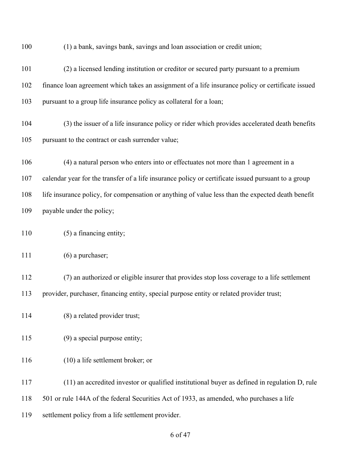(1) a bank, savings bank, savings and loan association or credit union;

 (2) a licensed lending institution or creditor or secured party pursuant to a premium finance loan agreement which takes an assignment of a life insurance policy or certificate issued pursuant to a group life insurance policy as collateral for a loan; (3) the issuer of a life insurance policy or rider which provides accelerated death benefits pursuant to the contract or cash surrender value; (4) a natural person who enters into or effectuates not more than 1 agreement in a calendar year for the transfer of a life insurance policy or certificate issued pursuant to a group life insurance policy, for compensation or anything of value less than the expected death benefit payable under the policy; 110 (5) a financing entity; 111 (6) a purchaser; (7) an authorized or eligible insurer that provides stop loss coverage to a life settlement provider, purchaser, financing entity, special purpose entity or related provider trust; (8) a related provider trust; (9) a special purpose entity; (10) a life settlement broker; or (11) an accredited investor or qualified institutional buyer as defined in regulation D, rule 501 or rule 144A of the federal Securities Act of 1933, as amended, who purchases a life settlement policy from a life settlement provider.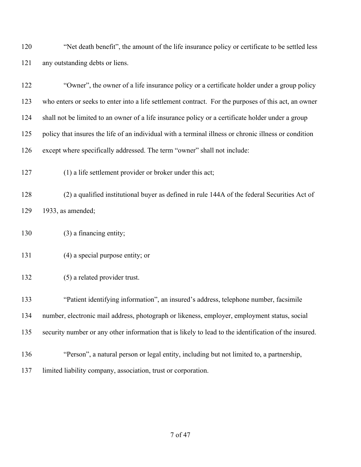"Net death benefit", the amount of the life insurance policy or certificate to be settled less any outstanding debts or liens.

| 122 | "Owner", the owner of a life insurance policy or a certificate holder under a group policy            |
|-----|-------------------------------------------------------------------------------------------------------|
| 123 | who enters or seeks to enter into a life settlement contract. For the purposes of this act, an owner  |
| 124 | shall not be limited to an owner of a life insurance policy or a certificate holder under a group     |
| 125 | policy that insures the life of an individual with a terminal illness or chronic illness or condition |
| 126 | except where specifically addressed. The term "owner" shall not include:                              |
| 127 | (1) a life settlement provider or broker under this act;                                              |
| 128 | (2) a qualified institutional buyer as defined in rule 144A of the federal Securities Act of          |
| 129 | 1933, as amended;                                                                                     |
| 130 | (3) a financing entity;                                                                               |
| 131 | $(4)$ a special purpose entity; or                                                                    |
| 132 | (5) a related provider trust.                                                                         |
| 133 | "Patient identifying information", an insured's address, telephone number, facsimile                  |
| 134 | number, electronic mail address, photograph or likeness, employer, employment status, social          |
| 135 | security number or any other information that is likely to lead to the identification of the insured. |
| 136 | "Person", a natural person or legal entity, including but not limited to, a partnership,              |
| 137 | limited liability company, association, trust or corporation.                                         |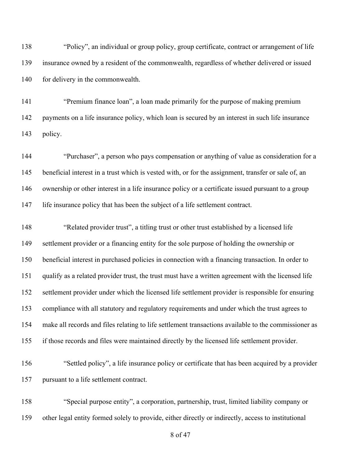"Policy", an individual or group policy, group certificate, contract or arrangement of life insurance owned by a resident of the commonwealth, regardless of whether delivered or issued 140 for delivery in the commonwealth.

 "Premium finance loan", a loan made primarily for the purpose of making premium payments on a life insurance policy, which loan is secured by an interest in such life insurance policy.

 "Purchaser", a person who pays compensation or anything of value as consideration for a beneficial interest in a trust which is vested with, or for the assignment, transfer or sale of, an ownership or other interest in a life insurance policy or a certificate issued pursuant to a group life insurance policy that has been the subject of a life settlement contract.

 "Related provider trust", a titling trust or other trust established by a licensed life settlement provider or a financing entity for the sole purpose of holding the ownership or beneficial interest in purchased policies in connection with a financing transaction. In order to qualify as a related provider trust, the trust must have a written agreement with the licensed life settlement provider under which the licensed life settlement provider is responsible for ensuring compliance with all statutory and regulatory requirements and under which the trust agrees to make all records and files relating to life settlement transactions available to the commissioner as if those records and files were maintained directly by the licensed life settlement provider.

 "Settled policy", a life insurance policy or certificate that has been acquired by a provider pursuant to a life settlement contract.

 "Special purpose entity", a corporation, partnership, trust, limited liability company or other legal entity formed solely to provide, either directly or indirectly, access to institutional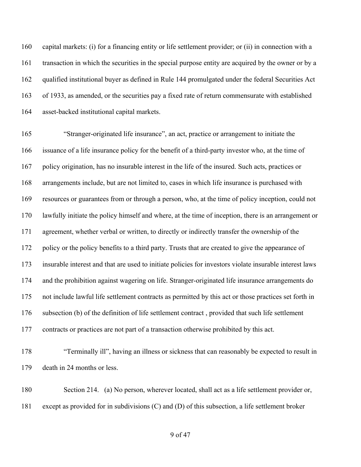capital markets: (i) for a financing entity or life settlement provider; or (ii) in connection with a transaction in which the securities in the special purpose entity are acquired by the owner or by a qualified institutional buyer as defined in Rule 144 promulgated under the federal Securities Act of 1933, as amended, or the securities pay a fixed rate of return commensurate with established asset-backed institutional capital markets.

 "Stranger-originated life insurance", an act, practice or arrangement to initiate the issuance of a life insurance policy for the benefit of a third-party investor who, at the time of policy origination, has no insurable interest in the life of the insured. Such acts, practices or arrangements include, but are not limited to, cases in which life insurance is purchased with resources or guarantees from or through a person, who, at the time of policy inception, could not lawfully initiate the policy himself and where, at the time of inception, there is an arrangement or agreement, whether verbal or written, to directly or indirectly transfer the ownership of the policy or the policy benefits to a third party. Trusts that are created to give the appearance of insurable interest and that are used to initiate policies for investors violate insurable interest laws and the prohibition against wagering on life. Stranger-originated life insurance arrangements do not include lawful life settlement contracts as permitted by this act or those practices set forth in subsection (b) of the definition of life settlement contract , provided that such life settlement contracts or practices are not part of a transaction otherwise prohibited by this act.

 "Terminally ill", having an illness or sickness that can reasonably be expected to result in death in 24 months or less.

 Section 214. (a) No person, wherever located, shall act as a life settlement provider or, except as provided for in subdivisions (C) and (D) of this subsection, a life settlement broker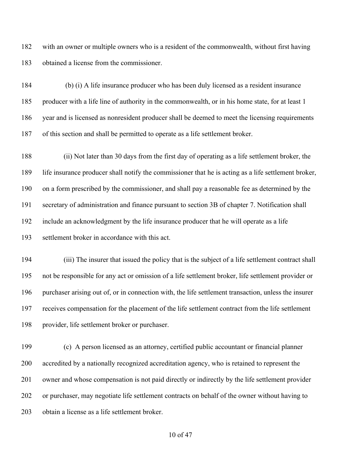with an owner or multiple owners who is a resident of the commonwealth, without first having obtained a license from the commissioner.

 (b) (i) A life insurance producer who has been duly licensed as a resident insurance producer with a life line of authority in the commonwealth, or in his home state, for at least 1 year and is licensed as nonresident producer shall be deemed to meet the licensing requirements of this section and shall be permitted to operate as a life settlement broker.

 (ii) Not later than 30 days from the first day of operating as a life settlement broker, the life insurance producer shall notify the commissioner that he is acting as a life settlement broker, on a form prescribed by the commissioner, and shall pay a reasonable fee as determined by the secretary of administration and finance pursuant to section 3B of chapter 7. Notification shall include an acknowledgment by the life insurance producer that he will operate as a life settlement broker in accordance with this act.

 (iii) The insurer that issued the policy that is the subject of a life settlement contract shall not be responsible for any act or omission of a life settlement broker, life settlement provider or purchaser arising out of, or in connection with, the life settlement transaction, unless the insurer receives compensation for the placement of the life settlement contract from the life settlement provider, life settlement broker or purchaser.

 (c) A person licensed as an attorney, certified public accountant or financial planner accredited by a nationally recognized accreditation agency, who is retained to represent the owner and whose compensation is not paid directly or indirectly by the life settlement provider or purchaser, may negotiate life settlement contracts on behalf of the owner without having to obtain a license as a life settlement broker.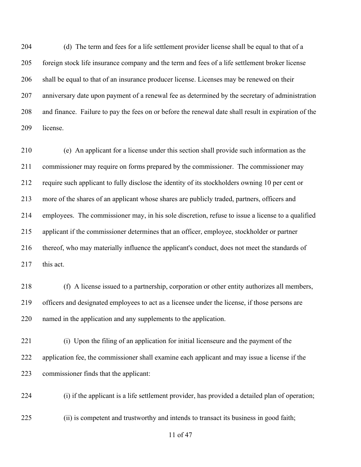(d) The term and fees for a life settlement provider license shall be equal to that of a foreign stock life insurance company and the term and fees of a life settlement broker license shall be equal to that of an insurance producer license. Licenses may be renewed on their anniversary date upon payment of a renewal fee as determined by the secretary of administration and finance. Failure to pay the fees on or before the renewal date shall result in expiration of the license.

 (e) An applicant for a license under this section shall provide such information as the commissioner may require on forms prepared by the commissioner. The commissioner may require such applicant to fully disclose the identity of its stockholders owning 10 per cent or more of the shares of an applicant whose shares are publicly traded, partners, officers and employees. The commissioner may, in his sole discretion, refuse to issue a license to a qualified applicant if the commissioner determines that an officer, employee, stockholder or partner thereof, who may materially influence the applicant's conduct, does not meet the standards of 217 this act.

 (f) A license issued to a partnership, corporation or other entity authorizes all members, officers and designated employees to act as a licensee under the license, if those persons are named in the application and any supplements to the application.

 (i) Upon the filing of an application for initial licenseure and the payment of the application fee, the commissioner shall examine each applicant and may issue a license if the commissioner finds that the applicant:

(i) if the applicant is a life settlement provider, has provided a detailed plan of operation;

(ii) is competent and trustworthy and intends to transact its business in good faith;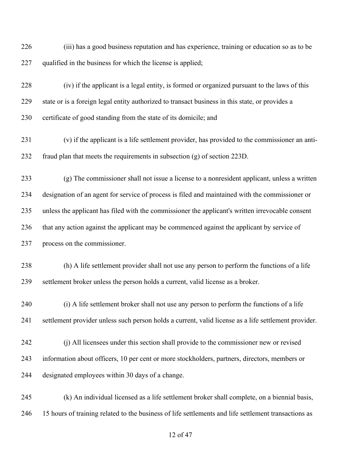(iii) has a good business reputation and has experience, training or education so as to be 227 qualified in the business for which the license is applied;

 (iv) if the applicant is a legal entity, is formed or organized pursuant to the laws of this state or is a foreign legal entity authorized to transact business in this state, or provides a 230 certificate of good standing from the state of its domicile; and

 (v) if the applicant is a life settlement provider, has provided to the commissioner an anti-fraud plan that meets the requirements in subsection (g) of section 223D.

 (g) The commissioner shall not issue a license to a nonresident applicant, unless a written designation of an agent for service of process is filed and maintained with the commissioner or unless the applicant has filed with the commissioner the applicant's written irrevocable consent that any action against the applicant may be commenced against the applicant by service of process on the commissioner.

 (h) A life settlement provider shall not use any person to perform the functions of a life settlement broker unless the person holds a current, valid license as a broker.

 (i) A life settlement broker shall not use any person to perform the functions of a life settlement provider unless such person holds a current, valid license as a life settlement provider.

 (j) All licensees under this section shall provide to the commissioner new or revised information about officers, 10 per cent or more stockholders, partners, directors, members or designated employees within 30 days of a change.

 (k) An individual licensed as a life settlement broker shall complete, on a biennial basis, 15 hours of training related to the business of life settlements and life settlement transactions as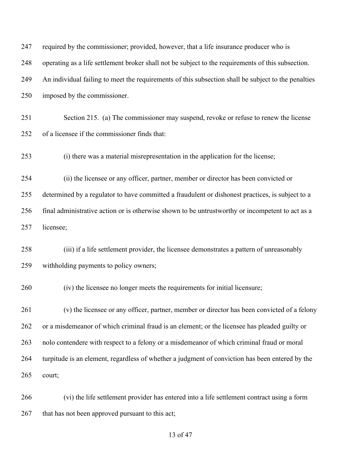| 247 | required by the commissioner; provided, however, that a life insurance producer who is              |
|-----|-----------------------------------------------------------------------------------------------------|
| 248 | operating as a life settlement broker shall not be subject to the requirements of this subsection.  |
| 249 | An individual failing to meet the requirements of this subsection shall be subject to the penalties |
| 250 | imposed by the commissioner.                                                                        |
| 251 | Section 215. (a) The commissioner may suspend, revoke or refuse to renew the license                |
| 252 | of a licensee if the commissioner finds that:                                                       |
| 253 | (i) there was a material misrepresentation in the application for the license;                      |
| 254 | (ii) the licensee or any officer, partner, member or director has been convicted or                 |
| 255 | determined by a regulator to have committed a fraudulent or dishonest practices, is subject to a    |
| 256 | final administrative action or is otherwise shown to be untrustworthy or incompetent to act as a    |
| 257 | licensee;                                                                                           |
| 258 | (iii) if a life settlement provider, the licensee demonstrates a pattern of unreasonably            |
| 259 | withholding payments to policy owners;                                                              |
| 260 | (iv) the licensee no longer meets the requirements for initial licensure;                           |
| 261 | (v) the licensee or any officer, partner, member or director has been convicted of a felony         |
| 262 | or a misdemeanor of which criminal fraud is an element; or the licensee has pleaded guilty or       |
| 263 | nolo contendere with respect to a felony or a misdemeanor of which criminal fraud or moral          |
| 264 | turpitude is an element, regardless of whether a judgment of conviction has been entered by the     |
| 265 | court;                                                                                              |
| 266 | (vi) the life settlement provider has entered into a life settlement contract using a form          |
| 267 | that has not been approved pursuant to this act;                                                    |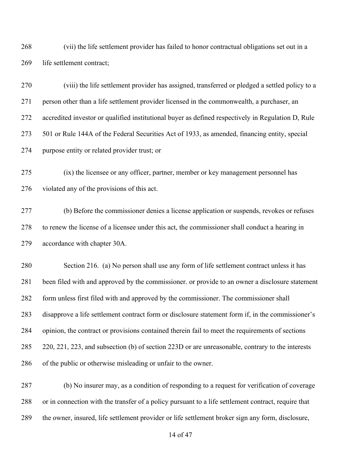(vii) the life settlement provider has failed to honor contractual obligations set out in a life settlement contract;

 (viii) the life settlement provider has assigned, transferred or pledged a settled policy to a person other than a life settlement provider licensed in the commonwealth, a purchaser, an accredited investor or qualified institutional buyer as defined respectively in Regulation D, Rule 501 or Rule 144A of the Federal Securities Act of 1933, as amended, financing entity, special purpose entity or related provider trust; or

 (ix) the licensee or any officer, partner, member or key management personnel has violated any of the provisions of this act.

 (b) Before the commissioner denies a license application or suspends, revokes or refuses to renew the license of a licensee under this act, the commissioner shall conduct a hearing in accordance with chapter 30A.

 Section 216. (a) No person shall use any form of life settlement contract unless it has been filed with and approved by the commissioner. or provide to an owner a disclosure statement form unless first filed with and approved by the commissioner. The commissioner shall disapprove a life settlement contract form or disclosure statement form if, in the commissioner's opinion, the contract or provisions contained therein fail to meet the requirements of sections 220, 221, 223, and subsection (b) of section 223D or are unreasonable, contrary to the interests of the public or otherwise misleading or unfair to the owner.

 (b) No insurer may, as a condition of responding to a request for verification of coverage or in connection with the transfer of a policy pursuant to a life settlement contract, require that the owner, insured, life settlement provider or life settlement broker sign any form, disclosure,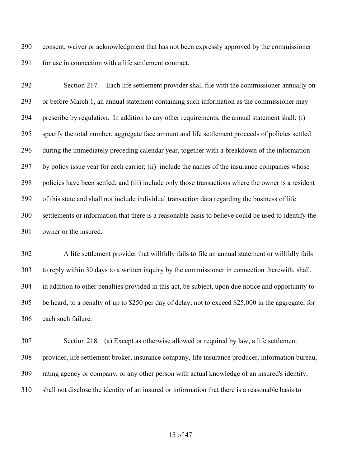consent, waiver or acknowledgment that has not been expressly approved by the commissioner 291 for use in connection with a life settlement contract.

 Section 217. Each life settlement provider shall file with the commissioner annually on or before March 1, an annual statement containing such information as the commissioner may prescribe by regulation. In addition to any other requirements, the annual statement shall: (i) specify the total number, aggregate face amount and life settlement proceeds of policies settled during the immediately preceding calendar year, together with a breakdown of the information by policy issue year for each carrier; (ii) include the names of the insurance companies whose policies have been settled; and (iii) include only those transactions where the owner is a resident of this state and shall not include individual transaction data regarding the business of life settlements or information that there is a reasonable basis to believe could be used to identify the owner or the insured.

 A life settlement provider that willfully fails to file an annual statement or willfully fails to reply within 30 days to a written inquiry by the commissioner in connection therewith, shall, in addition to other penalties provided in this act, be subject, upon due notice and opportunity to be heard, to a penalty of up to \$250 per day of delay, not to exceed \$25,000 in the aggregate, for each such failure.

 Section 218. (a) Except as otherwise allowed or required by law, a life settlement provider, life settlement broker, insurance company, life insurance producer, information bureau, rating agency or company, or any other person with actual knowledge of an insured's identity, shall not disclose the identity of an insured or information that there is a reasonable basis to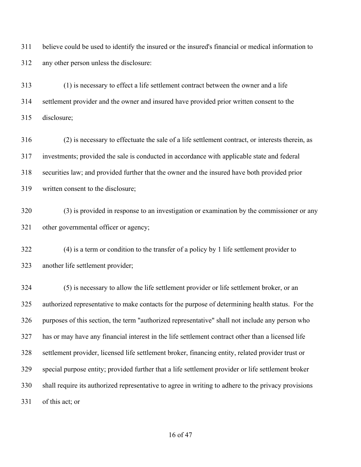believe could be used to identify the insured or the insured's financial or medical information to any other person unless the disclosure:

 (1) is necessary to effect a life settlement contract between the owner and a life settlement provider and the owner and insured have provided prior written consent to the disclosure;

 (2) is necessary to effectuate the sale of a life settlement contract, or interests therein, as investments; provided the sale is conducted in accordance with applicable state and federal securities law; and provided further that the owner and the insured have both provided prior written consent to the disclosure;

 (3) is provided in response to an investigation or examination by the commissioner or any other governmental officer or agency;

 (4) is a term or condition to the transfer of a policy by 1 life settlement provider to another life settlement provider;

 (5) is necessary to allow the life settlement provider or life settlement broker, or an authorized representative to make contacts for the purpose of determining health status. For the purposes of this section, the term "authorized representative" shall not include any person who has or may have any financial interest in the life settlement contract other than a licensed life settlement provider, licensed life settlement broker, financing entity, related provider trust or special purpose entity; provided further that a life settlement provider or life settlement broker shall require its authorized representative to agree in writing to adhere to the privacy provisions of this act; or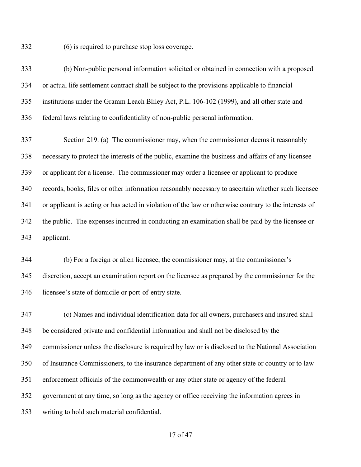(6) is required to purchase stop loss coverage.

 (b) Non-public personal information solicited or obtained in connection with a proposed or actual life settlement contract shall be subject to the provisions applicable to financial institutions under the Gramm Leach Bliley Act, P.L. 106-102 (1999), and all other state and federal laws relating to confidentiality of non-public personal information.

 Section 219. (a) The commissioner may, when the commissioner deems it reasonably necessary to protect the interests of the public, examine the business and affairs of any licensee or applicant for a license. The commissioner may order a licensee or applicant to produce records, books, files or other information reasonably necessary to ascertain whether such licensee or applicant is acting or has acted in violation of the law or otherwise contrary to the interests of the public. The expenses incurred in conducting an examination shall be paid by the licensee or applicant.

 (b) For a foreign or alien licensee, the commissioner may, at the commissioner's discretion, accept an examination report on the licensee as prepared by the commissioner for the licensee's state of domicile or port-of-entry state.

 (c) Names and individual identification data for all owners, purchasers and insured shall be considered private and confidential information and shall not be disclosed by the commissioner unless the disclosure is required by law or is disclosed to the National Association of Insurance Commissioners, to the insurance department of any other state or country or to law enforcement officials of the commonwealth or any other state or agency of the federal government at any time, so long as the agency or office receiving the information agrees in writing to hold such material confidential.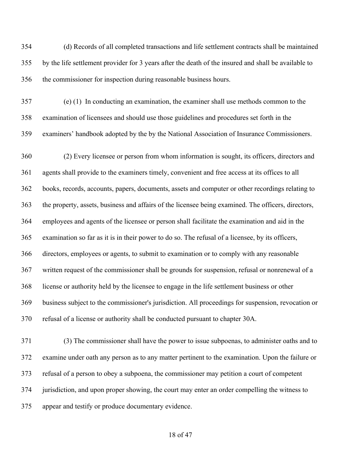(d) Records of all completed transactions and life settlement contracts shall be maintained by the life settlement provider for 3 years after the death of the insured and shall be available to the commissioner for inspection during reasonable business hours.

 (e) (1) In conducting an examination, the examiner shall use methods common to the examination of licensees and should use those guidelines and procedures set forth in the examiners' handbook adopted by the by the National Association of Insurance Commissioners.

 (2) Every licensee or person from whom information is sought, its officers, directors and agents shall provide to the examiners timely, convenient and free access at its offices to all books, records, accounts, papers, documents, assets and computer or other recordings relating to the property, assets, business and affairs of the licensee being examined. The officers, directors, employees and agents of the licensee or person shall facilitate the examination and aid in the examination so far as it is in their power to do so. The refusal of a licensee, by its officers, directors, employees or agents, to submit to examination or to comply with any reasonable written request of the commissioner shall be grounds for suspension, refusal or nonrenewal of a license or authority held by the licensee to engage in the life settlement business or other business subject to the commissioner's jurisdiction. All proceedings for suspension, revocation or refusal of a license or authority shall be conducted pursuant to chapter 30A.

 (3) The commissioner shall have the power to issue subpoenas, to administer oaths and to examine under oath any person as to any matter pertinent to the examination. Upon the failure or refusal of a person to obey a subpoena, the commissioner may petition a court of competent jurisdiction, and upon proper showing, the court may enter an order compelling the witness to appear and testify or produce documentary evidence.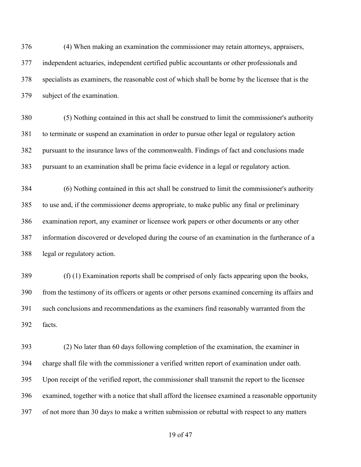(4) When making an examination the commissioner may retain attorneys, appraisers, independent actuaries, independent certified public accountants or other professionals and specialists as examiners, the reasonable cost of which shall be borne by the licensee that is the subject of the examination.

 (5) Nothing contained in this act shall be construed to limit the commissioner's authority to terminate or suspend an examination in order to pursue other legal or regulatory action pursuant to the insurance laws of the commonwealth. Findings of fact and conclusions made pursuant to an examination shall be prima facie evidence in a legal or regulatory action.

 (6) Nothing contained in this act shall be construed to limit the commissioner's authority to use and, if the commissioner deems appropriate, to make public any final or preliminary examination report, any examiner or licensee work papers or other documents or any other information discovered or developed during the course of an examination in the furtherance of a legal or regulatory action.

 (f) (1) Examination reports shall be comprised of only facts appearing upon the books, from the testimony of its officers or agents or other persons examined concerning its affairs and such conclusions and recommendations as the examiners find reasonably warranted from the facts.

 (2) No later than 60 days following completion of the examination, the examiner in charge shall file with the commissioner a verified written report of examination under oath. Upon receipt of the verified report, the commissioner shall transmit the report to the licensee examined, together with a notice that shall afford the licensee examined a reasonable opportunity of not more than 30 days to make a written submission or rebuttal with respect to any matters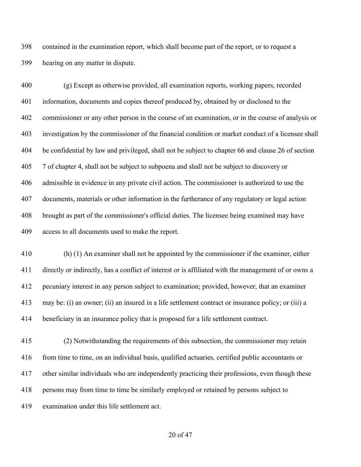contained in the examination report, which shall become part of the report, or to request a hearing on any matter in dispute.

 (g) Except as otherwise provided, all examination reports, working papers, recorded information, documents and copies thereof produced by, obtained by or disclosed to the commissioner or any other person in the course of an examination, or in the course of analysis or investigation by the commissioner of the financial condition or market conduct of a licensee shall be confidential by law and privileged, shall not be subject to chapter 66 and clause 26 of section 7 of chapter 4, shall not be subject to subpoena and shall not be subject to discovery or admissible in evidence in any private civil action. The commissioner is authorized to use the documents, materials or other information in the furtherance of any regulatory or legal action brought as part of the commissioner's official duties. The licensee being examined may have access to all documents used to make the report.

 (h) (1) An examiner shall not be appointed by the commissioner if the examiner, either directly or indirectly, has a conflict of interest or is affiliated with the management of or owns a pecuniary interest in any person subject to examination; provided, however, that an examiner may be: (i) an owner; (ii) an insured in a life settlement contract or insurance policy; or (iii) a beneficiary in an insurance policy that is proposed for a life settlement contract.

 (2) Notwithstanding the requirements of this subsection, the commissioner may retain from time to time, on an individual basis, qualified actuaries, certified public accountants or other similar individuals who are independently practicing their professions, even though these persons may from time to time be similarly employed or retained by persons subject to examination under this life settlement act.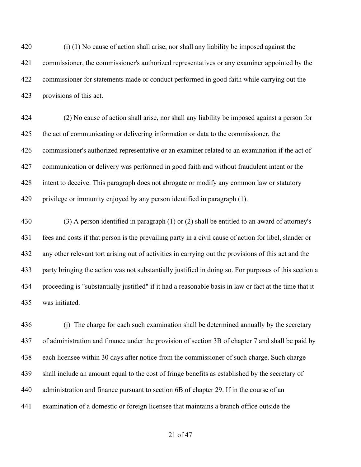(i) (1) No cause of action shall arise, nor shall any liability be imposed against the commissioner, the commissioner's authorized representatives or any examiner appointed by the commissioner for statements made or conduct performed in good faith while carrying out the provisions of this act.

 (2) No cause of action shall arise, nor shall any liability be imposed against a person for the act of communicating or delivering information or data to the commissioner, the commissioner's authorized representative or an examiner related to an examination if the act of communication or delivery was performed in good faith and without fraudulent intent or the intent to deceive. This paragraph does not abrogate or modify any common law or statutory privilege or immunity enjoyed by any person identified in paragraph (1).

 (3) A person identified in paragraph (1) or (2) shall be entitled to an award of attorney's fees and costs if that person is the prevailing party in a civil cause of action for libel, slander or any other relevant tort arising out of activities in carrying out the provisions of this act and the party bringing the action was not substantially justified in doing so. For purposes of this section a proceeding is "substantially justified" if it had a reasonable basis in law or fact at the time that it was initiated.

436 (j) The charge for each such examination shall be determined annually by the secretary of administration and finance under the provision of section 3B of chapter 7 and shall be paid by each licensee within 30 days after notice from the commissioner of such charge. Such charge shall include an amount equal to the cost of fringe benefits as established by the secretary of administration and finance pursuant to section 6B of chapter 29. If in the course of an examination of a domestic or foreign licensee that maintains a branch office outside the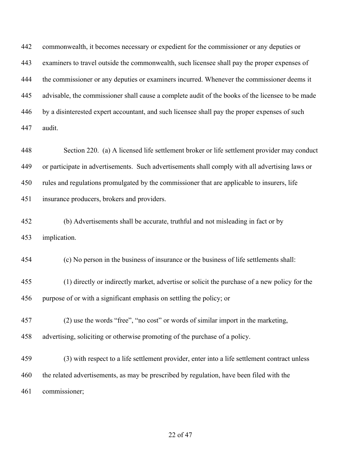commonwealth, it becomes necessary or expedient for the commissioner or any deputies or examiners to travel outside the commonwealth, such licensee shall pay the proper expenses of the commissioner or any deputies or examiners incurred. Whenever the commissioner deems it advisable, the commissioner shall cause a complete audit of the books of the licensee to be made by a disinterested expert accountant, and such licensee shall pay the proper expenses of such audit.

 Section 220. (a) A licensed life settlement broker or life settlement provider may conduct or participate in advertisements. Such advertisements shall comply with all advertising laws or rules and regulations promulgated by the commissioner that are applicable to insurers, life insurance producers, brokers and providers.

 (b) Advertisements shall be accurate, truthful and not misleading in fact or by implication.

(c) No person in the business of insurance or the business of life settlements shall:

 (1) directly or indirectly market, advertise or solicit the purchase of a new policy for the purpose of or with a significant emphasis on settling the policy; or

 (2) use the words "free", "no cost" or words of similar import in the marketing, advertising, soliciting or otherwise promoting of the purchase of a policy.

 (3) with respect to a life settlement provider, enter into a life settlement contract unless the related advertisements, as may be prescribed by regulation, have been filed with the commissioner;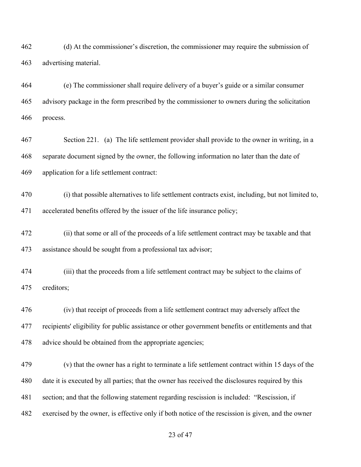(d) At the commissioner's discretion, the commissioner may require the submission of advertising material.

 (e) The commissioner shall require delivery of a buyer's guide or a similar consumer advisory package in the form prescribed by the commissioner to owners during the solicitation process.

 Section 221. (a) The life settlement provider shall provide to the owner in writing, in a separate document signed by the owner, the following information no later than the date of application for a life settlement contract:

 (i) that possible alternatives to life settlement contracts exist, including, but not limited to, accelerated benefits offered by the issuer of the life insurance policy;

 (ii) that some or all of the proceeds of a life settlement contract may be taxable and that assistance should be sought from a professional tax advisor;

 (iii) that the proceeds from a life settlement contract may be subject to the claims of creditors;

 (iv) that receipt of proceeds from a life settlement contract may adversely affect the recipients' eligibility for public assistance or other government benefits or entitlements and that advice should be obtained from the appropriate agencies;

 (v) that the owner has a right to terminate a life settlement contract within 15 days of the date it is executed by all parties; that the owner has received the disclosures required by this section; and that the following statement regarding rescission is included: "Rescission, if exercised by the owner, is effective only if both notice of the rescission is given, and the owner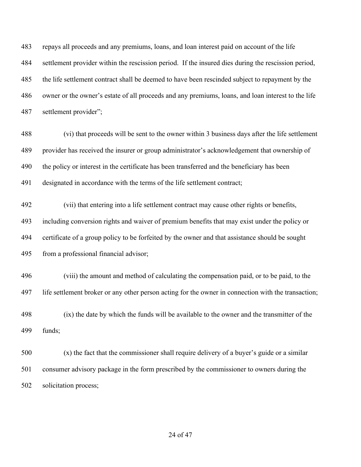repays all proceeds and any premiums, loans, and loan interest paid on account of the life settlement provider within the rescission period. If the insured dies during the rescission period, the life settlement contract shall be deemed to have been rescinded subject to repayment by the owner or the owner's estate of all proceeds and any premiums, loans, and loan interest to the life settlement provider";

 (vi) that proceeds will be sent to the owner within 3 business days after the life settlement provider has received the insurer or group administrator's acknowledgement that ownership of the policy or interest in the certificate has been transferred and the beneficiary has been designated in accordance with the terms of the life settlement contract;

 (vii) that entering into a life settlement contract may cause other rights or benefits, including conversion rights and waiver of premium benefits that may exist under the policy or certificate of a group policy to be forfeited by the owner and that assistance should be sought from a professional financial advisor;

 (viii) the amount and method of calculating the compensation paid, or to be paid, to the life settlement broker or any other person acting for the owner in connection with the transaction;

 (ix) the date by which the funds will be available to the owner and the transmitter of the funds;

 (x) the fact that the commissioner shall require delivery of a buyer's guide or a similar consumer advisory package in the form prescribed by the commissioner to owners during the solicitation process;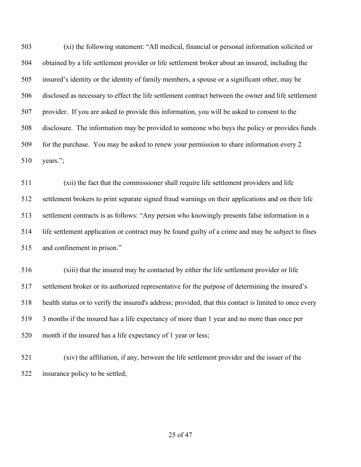(xi) the following statement: "All medical, financial or personal information solicited or obtained by a life settlement provider or life settlement broker about an insured, including the insured's identity or the identity of family members, a spouse or a significant other, may be disclosed as necessary to effect the life settlement contract between the owner and life settlement provider. If you are asked to provide this information, you will be asked to consent to the disclosure. The information may be provided to someone who buys the policy or provides funds for the purchase. You may be asked to renew your permission to share information every 2 years.";

 (xii) the fact that the commissioner shall require life settlement providers and life settlement brokers to print separate signed fraud warnings on their applications and on their life settlement contracts is as follows: "Any person who knowingly presents false information in a life settlement application or contract may be found guilty of a crime and may be subject to fines and confinement in prison."

 (xiii) that the insured may be contacted by either the life settlement provider or life settlement broker or its authorized representative for the purpose of determining the insured's health status or to verify the insured's address; provided, that this contact is limited to once every 3 months if the insured has a life expectancy of more than 1 year and no more than once per month if the insured has a life expectancy of 1 year or less;

 (xiv) the affiliation, if any, between the life settlement provider and the issuer of the insurance policy to be settled;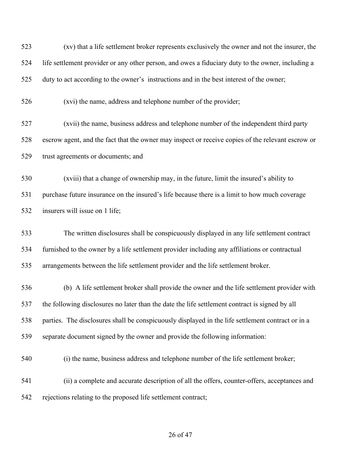| 523 | (xv) that a life settlement broker represents exclusively the owner and not the insurer, the      |
|-----|---------------------------------------------------------------------------------------------------|
| 524 | life settlement provider or any other person, and owes a fiduciary duty to the owner, including a |
| 525 | duty to act according to the owner's instructions and in the best interest of the owner;          |
| 526 | (xvi) the name, address and telephone number of the provider;                                     |
| 527 | (xvii) the name, business address and telephone number of the independent third party             |
| 528 | escrow agent, and the fact that the owner may inspect or receive copies of the relevant escrow or |
| 529 | trust agreements or documents; and                                                                |
| 530 | (xviii) that a change of ownership may, in the future, limit the insured's ability to             |
| 531 | purchase future insurance on the insured's life because there is a limit to how much coverage     |
| 532 | insurers will issue on 1 life;                                                                    |
| 533 | The written disclosures shall be conspicuously displayed in any life settlement contract          |
| 534 | furnished to the owner by a life settlement provider including any affiliations or contractual    |
| 535 | arrangements between the life settlement provider and the life settlement broker.                 |
| 536 | (b) A life settlement broker shall provide the owner and the life settlement provider with        |
| 537 | the following disclosures no later than the date the life settlement contract is signed by all    |
| 538 | parties. The disclosures shall be conspicuously displayed in the life settlement contract or in a |
| 539 | separate document signed by the owner and provide the following information:                      |
| 540 | (i) the name, business address and telephone number of the life settlement broker;                |
| 541 | (ii) a complete and accurate description of all the offers, counter-offers, acceptances and       |
| 542 | rejections relating to the proposed life settlement contract;                                     |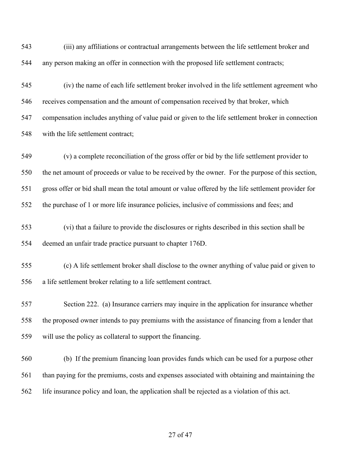(iii) any affiliations or contractual arrangements between the life settlement broker and any person making an offer in connection with the proposed life settlement contracts;

 (iv) the name of each life settlement broker involved in the life settlement agreement who receives compensation and the amount of compensation received by that broker, which compensation includes anything of value paid or given to the life settlement broker in connection with the life settlement contract;

 (v) a complete reconciliation of the gross offer or bid by the life settlement provider to the net amount of proceeds or value to be received by the owner. For the purpose of this section, gross offer or bid shall mean the total amount or value offered by the life settlement provider for the purchase of 1 or more life insurance policies, inclusive of commissions and fees; and

- (vi) that a failure to provide the disclosures or rights described in this section shall be deemed an unfair trade practice pursuant to chapter 176D.
- (c) A life settlement broker shall disclose to the owner anything of value paid or given to a life settlement broker relating to a life settlement contract.

 Section 222. (a) Insurance carriers may inquire in the application for insurance whether the proposed owner intends to pay premiums with the assistance of financing from a lender that will use the policy as collateral to support the financing.

 (b) If the premium financing loan provides funds which can be used for a purpose other than paying for the premiums, costs and expenses associated with obtaining and maintaining the life insurance policy and loan, the application shall be rejected as a violation of this act.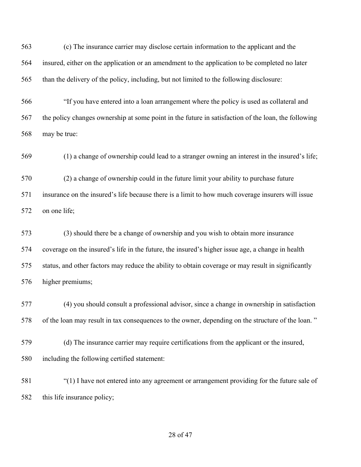(c) The insurance carrier may disclose certain information to the applicant and the insured, either on the application or an amendment to the application to be completed no later than the delivery of the policy, including, but not limited to the following disclosure:

 "If you have entered into a loan arrangement where the policy is used as collateral and the policy changes ownership at some point in the future in satisfaction of the loan, the following may be true:

(1) a change of ownership could lead to a stranger owning an interest in the insured's life;

 (2) a change of ownership could in the future limit your ability to purchase future insurance on the insured's life because there is a limit to how much coverage insurers will issue on one life;

 (3) should there be a change of ownership and you wish to obtain more insurance coverage on the insured's life in the future, the insured's higher issue age, a change in health status, and other factors may reduce the ability to obtain coverage or may result in significantly higher premiums;

 (4) you should consult a professional advisor, since a change in ownership in satisfaction of the loan may result in tax consequences to the owner, depending on the structure of the loan. "

 (d) The insurance carrier may require certifications from the applicant or the insured, including the following certified statement:

 "(1) I have not entered into any agreement or arrangement providing for the future sale of this life insurance policy;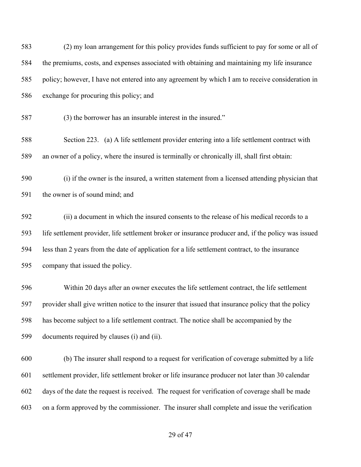(2) my loan arrangement for this policy provides funds sufficient to pay for some or all of the premiums, costs, and expenses associated with obtaining and maintaining my life insurance policy; however, I have not entered into any agreement by which I am to receive consideration in exchange for procuring this policy; and (3) the borrower has an insurable interest in the insured." Section 223. (a) A life settlement provider entering into a life settlement contract with an owner of a policy, where the insured is terminally or chronically ill, shall first obtain: (i) if the owner is the insured, a written statement from a licensed attending physician that the owner is of sound mind; and (ii) a document in which the insured consents to the release of his medical records to a life settlement provider, life settlement broker or insurance producer and, if the policy was issued less than 2 years from the date of application for a life settlement contract, to the insurance company that issued the policy. Within 20 days after an owner executes the life settlement contract, the life settlement provider shall give written notice to the insurer that issued that insurance policy that the policy has become subject to a life settlement contract. The notice shall be accompanied by the

documents required by clauses (i) and (ii).

 (b) The insurer shall respond to a request for verification of coverage submitted by a life settlement provider, life settlement broker or life insurance producer not later than 30 calendar days of the date the request is received. The request for verification of coverage shall be made on a form approved by the commissioner. The insurer shall complete and issue the verification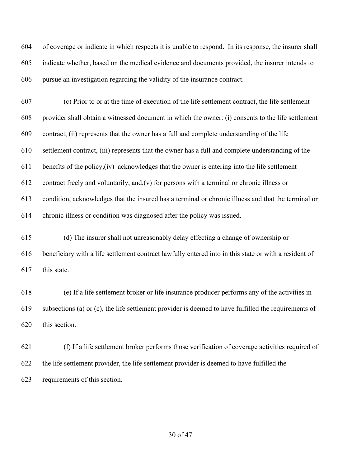of coverage or indicate in which respects it is unable to respond. In its response, the insurer shall indicate whether, based on the medical evidence and documents provided, the insurer intends to pursue an investigation regarding the validity of the insurance contract.

 (c) Prior to or at the time of execution of the life settlement contract, the life settlement provider shall obtain a witnessed document in which the owner: (i) consents to the life settlement contract, (ii) represents that the owner has a full and complete understanding of the life settlement contract, (iii) represents that the owner has a full and complete understanding of the benefits of the policy,(iv) acknowledges that the owner is entering into the life settlement 612 contract freely and voluntarily, and,  $(v)$  for persons with a terminal or chronic illness or condition, acknowledges that the insured has a terminal or chronic illness and that the terminal or chronic illness or condition was diagnosed after the policy was issued.

 (d) The insurer shall not unreasonably delay effecting a change of ownership or beneficiary with a life settlement contract lawfully entered into in this state or with a resident of this state.

 (e) If a life settlement broker or life insurance producer performs any of the activities in subsections (a) or (c), the life settlement provider is deemed to have fulfilled the requirements of this section.

 (f) If a life settlement broker performs those verification of coverage activities required of the life settlement provider, the life settlement provider is deemed to have fulfilled the requirements of this section.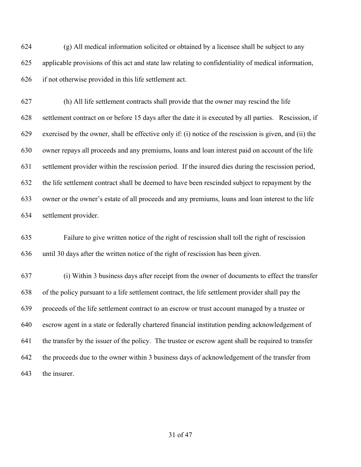(g) All medical information solicited or obtained by a licensee shall be subject to any applicable provisions of this act and state law relating to confidentiality of medical information, if not otherwise provided in this life settlement act.

 (h) All life settlement contracts shall provide that the owner may rescind the life settlement contract on or before 15 days after the date it is executed by all parties. Rescission, if exercised by the owner, shall be effective only if: (i) notice of the rescission is given, and (ii) the owner repays all proceeds and any premiums, loans and loan interest paid on account of the life settlement provider within the rescission period. If the insured dies during the rescission period, the life settlement contract shall be deemed to have been rescinded subject to repayment by the owner or the owner's estate of all proceeds and any premiums, loans and loan interest to the life settlement provider.

 Failure to give written notice of the right of rescission shall toll the right of rescission until 30 days after the written notice of the right of rescission has been given.

 (i) Within 3 business days after receipt from the owner of documents to effect the transfer of the policy pursuant to a life settlement contract, the life settlement provider shall pay the proceeds of the life settlement contract to an escrow or trust account managed by a trustee or escrow agent in a state or federally chartered financial institution pending acknowledgement of the transfer by the issuer of the policy. The trustee or escrow agent shall be required to transfer the proceeds due to the owner within 3 business days of acknowledgement of the transfer from the insurer.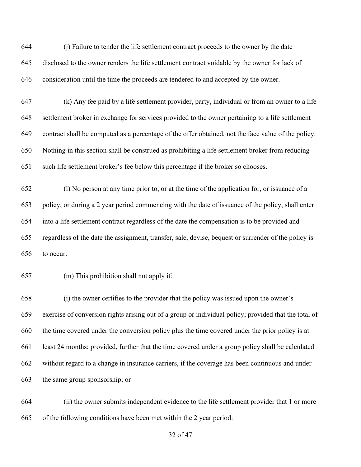(j) Failure to tender the life settlement contract proceeds to the owner by the date disclosed to the owner renders the life settlement contract voidable by the owner for lack of consideration until the time the proceeds are tendered to and accepted by the owner.

 (k) Any fee paid by a life settlement provider, party, individual or from an owner to a life settlement broker in exchange for services provided to the owner pertaining to a life settlement contract shall be computed as a percentage of the offer obtained, not the face value of the policy. Nothing in this section shall be construed as prohibiting a life settlement broker from reducing such life settlement broker's fee below this percentage if the broker so chooses.

 (l) No person at any time prior to, or at the time of the application for, or issuance of a policy, or during a 2 year period commencing with the date of issuance of the policy, shall enter into a life settlement contract regardless of the date the compensation is to be provided and regardless of the date the assignment, transfer, sale, devise, bequest or surrender of the policy is to occur.

(m) This prohibition shall not apply if:

 (i) the owner certifies to the provider that the policy was issued upon the owner's exercise of conversion rights arising out of a group or individual policy; provided that the total of the time covered under the conversion policy plus the time covered under the prior policy is at least 24 months; provided, further that the time covered under a group policy shall be calculated without regard to a change in insurance carriers, if the coverage has been continuous and under the same group sponsorship; or

 (ii) the owner submits independent evidence to the life settlement provider that 1 or more of the following conditions have been met within the 2 year period: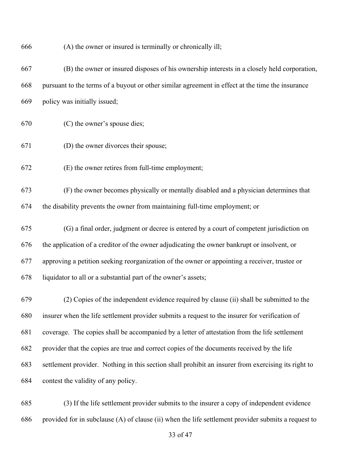| 666 | (A) the owner or insured is terminally or chronically ill;                                          |
|-----|-----------------------------------------------------------------------------------------------------|
| 667 | (B) the owner or insured disposes of his ownership interests in a closely held corporation,         |
| 668 | pursuant to the terms of a buyout or other similar agreement in effect at the time the insurance    |
| 669 | policy was initially issued;                                                                        |
| 670 | (C) the owner's spouse dies;                                                                        |
| 671 | (D) the owner divorces their spouse;                                                                |
| 672 | (E) the owner retires from full-time employment;                                                    |
| 673 | (F) the owner becomes physically or mentally disabled and a physician determines that               |
| 674 | the disability prevents the owner from maintaining full-time employment; or                         |
| 675 | (G) a final order, judgment or decree is entered by a court of competent jurisdiction on            |
| 676 | the application of a creditor of the owner adjudicating the owner bankrupt or insolvent, or         |
| 677 | approving a petition seeking reorganization of the owner or appointing a receiver, trustee or       |
| 678 | liquidator to all or a substantial part of the owner's assets;                                      |
| 679 | (2) Copies of the independent evidence required by clause (ii) shall be submitted to the            |
| 680 | insurer when the life settlement provider submits a request to the insurer for verification of      |
| 681 | coverage. The copies shall be accompanied by a letter of attestation from the life settlement       |
| 682 | provider that the copies are true and correct copies of the documents received by the life          |
| 683 | settlement provider. Nothing in this section shall prohibit an insurer from exercising its right to |
| 684 | contest the validity of any policy.                                                                 |
| 685 | (3) If the life settlement provider submits to the insurer a copy of independent evidence           |

provided for in subclause (A) of clause (ii) when the life settlement provider submits a request to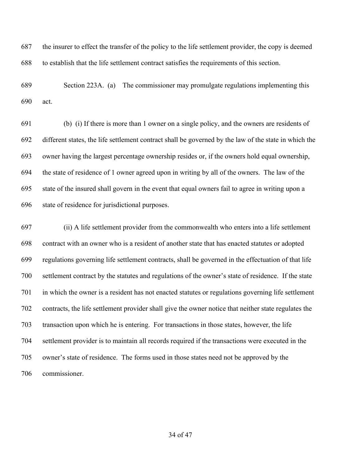the insurer to effect the transfer of the policy to the life settlement provider, the copy is deemed to establish that the life settlement contract satisfies the requirements of this section.

 Section 223A. (a) The commissioner may promulgate regulations implementing this act.

 (b) (i) If there is more than 1 owner on a single policy, and the owners are residents of different states, the life settlement contract shall be governed by the law of the state in which the owner having the largest percentage ownership resides or, if the owners hold equal ownership, the state of residence of 1 owner agreed upon in writing by all of the owners. The law of the state of the insured shall govern in the event that equal owners fail to agree in writing upon a state of residence for jurisdictional purposes.

 (ii) A life settlement provider from the commonwealth who enters into a life settlement contract with an owner who is a resident of another state that has enacted statutes or adopted regulations governing life settlement contracts, shall be governed in the effectuation of that life settlement contract by the statutes and regulations of the owner's state of residence. If the state in which the owner is a resident has not enacted statutes or regulations governing life settlement contracts, the life settlement provider shall give the owner notice that neither state regulates the transaction upon which he is entering. For transactions in those states, however, the life settlement provider is to maintain all records required if the transactions were executed in the owner's state of residence. The forms used in those states need not be approved by the commissioner.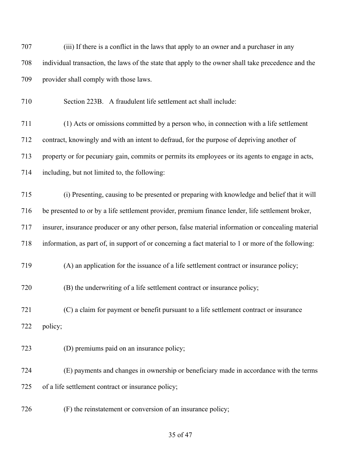| 707 | (iii) If there is a conflict in the laws that apply to an owner and a purchaser in any              |
|-----|-----------------------------------------------------------------------------------------------------|
| 708 | individual transaction, the laws of the state that apply to the owner shall take precedence and the |
| 709 | provider shall comply with those laws.                                                              |
| 710 | Section 223B. A fraudulent life settlement act shall include:                                       |
| 711 | (1) Acts or omissions committed by a person who, in connection with a life settlement               |
| 712 | contract, knowingly and with an intent to defraud, for the purpose of depriving another of          |
| 713 | property or for pecuniary gain, commits or permits its employees or its agents to engage in acts,   |
| 714 | including, but not limited to, the following:                                                       |
| 715 | (i) Presenting, causing to be presented or preparing with knowledge and belief that it will         |
| 716 | be presented to or by a life settlement provider, premium finance lender, life settlement broker,   |
| 717 | insurer, insurance producer or any other person, false material information or concealing material  |
| 718 | information, as part of, in support of or concerning a fact material to 1 or more of the following: |
| 719 | (A) an application for the issuance of a life settlement contract or insurance policy;              |
| 720 | (B) the underwriting of a life settlement contract or insurance policy;                             |
| 721 | (C) a claim for payment or benefit pursuant to a life settlement contract or insurance              |
| 722 | policy;                                                                                             |
| 723 | (D) premiums paid on an insurance policy;                                                           |
| 724 | (E) payments and changes in ownership or beneficiary made in accordance with the terms              |
| 725 | of a life settlement contract or insurance policy;                                                  |
| 726 | (F) the reinstatement or conversion of an insurance policy;                                         |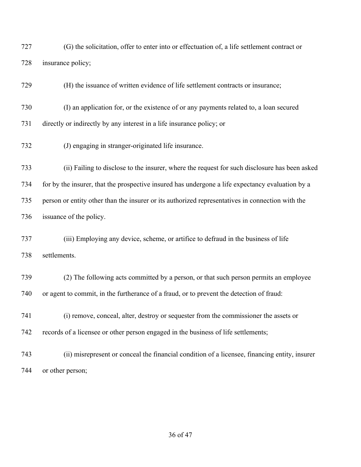| 727 | (G) the solicitation, offer to enter into or effectuation of, a life settlement contract or      |
|-----|--------------------------------------------------------------------------------------------------|
| 728 | insurance policy;                                                                                |
| 729 | (H) the issuance of written evidence of life settlement contracts or insurance;                  |
| 730 | (I) an application for, or the existence of or any payments related to, a loan secured           |
| 731 | directly or indirectly by any interest in a life insurance policy; or                            |
| 732 | (J) engaging in stranger-originated life insurance.                                              |
| 733 | (ii) Failing to disclose to the insurer, where the request for such disclosure has been asked    |
| 734 | for by the insurer, that the prospective insured has undergone a life expectancy evaluation by a |
| 735 | person or entity other than the insurer or its authorized representatives in connection with the |
| 736 | issuance of the policy.                                                                          |
| 737 | (iii) Employing any device, scheme, or artifice to defraud in the business of life               |
| 738 | settlements.                                                                                     |
| 739 | (2) The following acts committed by a person, or that such person permits an employee            |
| 740 | or agent to commit, in the furtherance of a fraud, or to prevent the detection of fraud:         |
| 741 | (i) remove, conceal, alter, destroy or sequester from the commissioner the assets or             |
| 742 | records of a licensee or other person engaged in the business of life settlements;               |
| 743 | (ii) misrepresent or conceal the financial condition of a licensee, financing entity, insurer    |
| 744 | or other person;                                                                                 |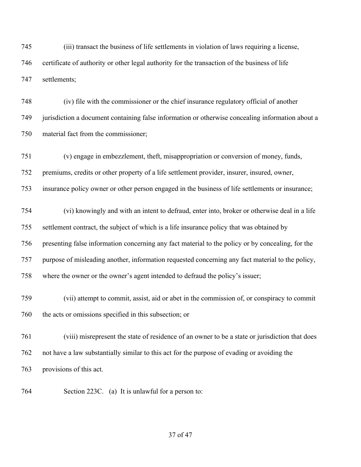(iii) transact the business of life settlements in violation of laws requiring a license, certificate of authority or other legal authority for the transaction of the business of life settlements;

 (iv) file with the commissioner or the chief insurance regulatory official of another jurisdiction a document containing false information or otherwise concealing information about a material fact from the commissioner;

(v) engage in embezzlement, theft, misappropriation or conversion of money, funds,

premiums, credits or other property of a life settlement provider, insurer, insured, owner,

insurance policy owner or other person engaged in the business of life settlements or insurance;

 (vi) knowingly and with an intent to defraud, enter into, broker or otherwise deal in a life settlement contract, the subject of which is a life insurance policy that was obtained by presenting false information concerning any fact material to the policy or by concealing, for the purpose of misleading another, information requested concerning any fact material to the policy, where the owner or the owner's agent intended to defraud the policy's issuer;

 (vii) attempt to commit, assist, aid or abet in the commission of, or conspiracy to commit the acts or omissions specified in this subsection; or

 (viii) misrepresent the state of residence of an owner to be a state or jurisdiction that does not have a law substantially similar to this act for the purpose of evading or avoiding the provisions of this act.

Section 223C. (a) It is unlawful for a person to: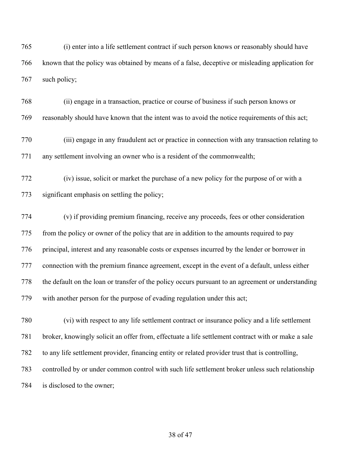(i) enter into a life settlement contract if such person knows or reasonably should have known that the policy was obtained by means of a false, deceptive or misleading application for such policy;

 (ii) engage in a transaction, practice or course of business if such person knows or reasonably should have known that the intent was to avoid the notice requirements of this act;

 (iii) engage in any fraudulent act or practice in connection with any transaction relating to any settlement involving an owner who is a resident of the commonwealth;

 (iv) issue, solicit or market the purchase of a new policy for the purpose of or with a significant emphasis on settling the policy;

 (v) if providing premium financing, receive any proceeds, fees or other consideration from the policy or owner of the policy that are in addition to the amounts required to pay principal, interest and any reasonable costs or expenses incurred by the lender or borrower in connection with the premium finance agreement, except in the event of a default, unless either the default on the loan or transfer of the policy occurs pursuant to an agreement or understanding with another person for the purpose of evading regulation under this act;

 (vi) with respect to any life settlement contract or insurance policy and a life settlement broker, knowingly solicit an offer from, effectuate a life settlement contract with or make a sale to any life settlement provider, financing entity or related provider trust that is controlling, controlled by or under common control with such life settlement broker unless such relationship is disclosed to the owner;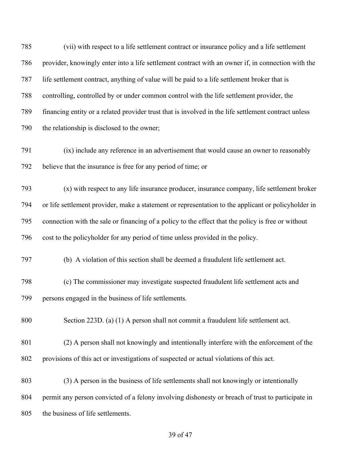(vii) with respect to a life settlement contract or insurance policy and a life settlement provider, knowingly enter into a life settlement contract with an owner if, in connection with the life settlement contract, anything of value will be paid to a life settlement broker that is controlling, controlled by or under common control with the life settlement provider, the financing entity or a related provider trust that is involved in the life settlement contract unless the relationship is disclosed to the owner; (ix) include any reference in an advertisement that would cause an owner to reasonably believe that the insurance is free for any period of time; or

 (x) with respect to any life insurance producer, insurance company, life settlement broker or life settlement provider, make a statement or representation to the applicant or policyholder in connection with the sale or financing of a policy to the effect that the policy is free or without cost to the policyholder for any period of time unless provided in the policy.

(b) A violation of this section shall be deemed a fraudulent life settlement act.

 (c) The commissioner may investigate suspected fraudulent life settlement acts and persons engaged in the business of life settlements.

Section 223D. (a) (1) A person shall not commit a fraudulent life settlement act.

 (2) A person shall not knowingly and intentionally interfere with the enforcement of the provisions of this act or investigations of suspected or actual violations of this act.

 (3) A person in the business of life settlements shall not knowingly or intentionally permit any person convicted of a felony involving dishonesty or breach of trust to participate in the business of life settlements.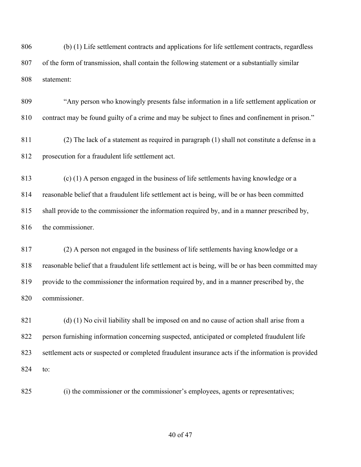(b) (1) Life settlement contracts and applications for life settlement contracts, regardless of the form of transmission, shall contain the following statement or a substantially similar statement:

 "Any person who knowingly presents false information in a life settlement application or contract may be found guilty of a crime and may be subject to fines and confinement in prison."

 (2) The lack of a statement as required in paragraph (1) shall not constitute a defense in a prosecution for a fraudulent life settlement act.

 (c) (1) A person engaged in the business of life settlements having knowledge or a reasonable belief that a fraudulent life settlement act is being, will be or has been committed shall provide to the commissioner the information required by, and in a manner prescribed by, 816 the commissioner.

 (2) A person not engaged in the business of life settlements having knowledge or a reasonable belief that a fraudulent life settlement act is being, will be or has been committed may provide to the commissioner the information required by, and in a manner prescribed by, the commissioner.

 (d) (1) No civil liability shall be imposed on and no cause of action shall arise from a person furnishing information concerning suspected, anticipated or completed fraudulent life settlement acts or suspected or completed fraudulent insurance acts if the information is provided to:

(i) the commissioner or the commissioner's employees, agents or representatives;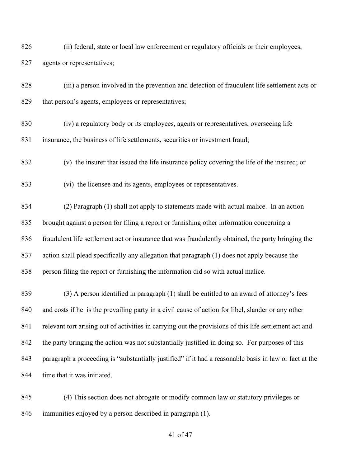- (ii) federal, state or local law enforcement or regulatory officials or their employees, 827 agents or representatives;
- (iii) a person involved in the prevention and detection of fraudulent life settlement acts or 829 that person's agents, employees or representatives;
- (iv) a regulatory body or its employees, agents or representatives, overseeing life insurance, the business of life settlements, securities or investment fraud;
- (v) the insurer that issued the life insurance policy covering the life of the insured; or
- (vi) the licensee and its agents, employees or representatives.

 (2) Paragraph (1) shall not apply to statements made with actual malice. In an action brought against a person for filing a report or furnishing other information concerning a fraudulent life settlement act or insurance that was fraudulently obtained, the party bringing the action shall plead specifically any allegation that paragraph (1) does not apply because the person filing the report or furnishing the information did so with actual malice.

- (3) A person identified in paragraph (1) shall be entitled to an award of attorney's fees and costs if he is the prevailing party in a civil cause of action for libel, slander or any other 841 relevant tort arising out of activities in carrying out the provisions of this life settlement act and 842 the party bringing the action was not substantially justified in doing so. For purposes of this paragraph a proceeding is "substantially justified" if it had a reasonable basis in law or fact at the 844 time that it was initiated.
- (4) This section does not abrogate or modify common law or statutory privileges or immunities enjoyed by a person described in paragraph (1).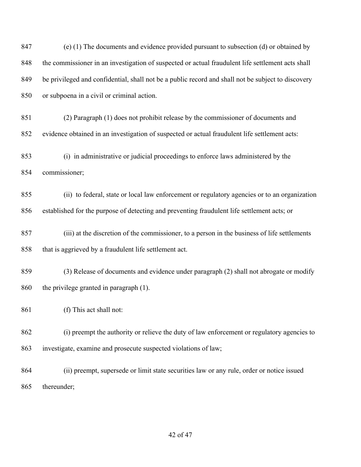(e) (1) The documents and evidence provided pursuant to subsection (d) or obtained by the commissioner in an investigation of suspected or actual fraudulent life settlement acts shall be privileged and confidential, shall not be a public record and shall not be subject to discovery or subpoena in a civil or criminal action. (2) Paragraph (1) does not prohibit release by the commissioner of documents and evidence obtained in an investigation of suspected or actual fraudulent life settlement acts: (i) in administrative or judicial proceedings to enforce laws administered by the commissioner; (ii) to federal, state or local law enforcement or regulatory agencies or to an organization established for the purpose of detecting and preventing fraudulent life settlement acts; or (iii) at the discretion of the commissioner, to a person in the business of life settlements 858 that is aggrieved by a fraudulent life settlement act. (3) Release of documents and evidence under paragraph (2) shall not abrogate or modify the privilege granted in paragraph (1). (f) This act shall not: (i) preempt the authority or relieve the duty of law enforcement or regulatory agencies to investigate, examine and prosecute suspected violations of law; (ii) preempt, supersede or limit state securities law or any rule, order or notice issued thereunder;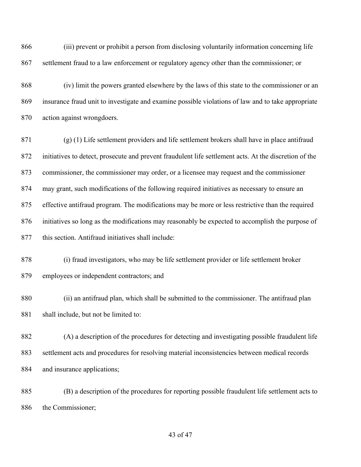(iii) prevent or prohibit a person from disclosing voluntarily information concerning life settlement fraud to a law enforcement or regulatory agency other than the commissioner; or

 (iv) limit the powers granted elsewhere by the laws of this state to the commissioner or an insurance fraud unit to investigate and examine possible violations of law and to take appropriate action against wrongdoers.

 (g) (1) Life settlement providers and life settlement brokers shall have in place antifraud initiatives to detect, prosecute and prevent fraudulent life settlement acts. At the discretion of the commissioner, the commissioner may order, or a licensee may request and the commissioner may grant, such modifications of the following required initiatives as necessary to ensure an effective antifraud program. The modifications may be more or less restrictive than the required initiatives so long as the modifications may reasonably be expected to accomplish the purpose of this section. Antifraud initiatives shall include:

 (i) fraud investigators, who may be life settlement provider or life settlement broker employees or independent contractors; and

 (ii) an antifraud plan, which shall be submitted to the commissioner. The antifraud plan 881 shall include, but not be limited to:

 (A) a description of the procedures for detecting and investigating possible fraudulent life settlement acts and procedures for resolving material inconsistencies between medical records 884 and insurance applications;

 (B) a description of the procedures for reporting possible fraudulent life settlement acts to the Commissioner;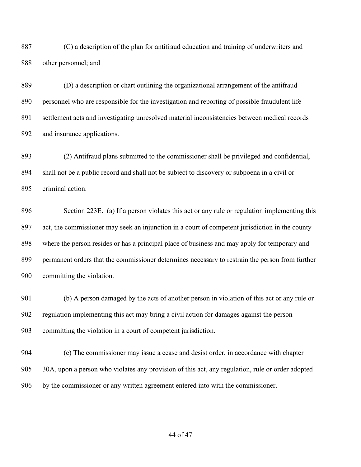(C) a description of the plan for antifraud education and training of underwriters and other personnel; and

 (D) a description or chart outlining the organizational arrangement of the antifraud personnel who are responsible for the investigation and reporting of possible fraudulent life settlement acts and investigating unresolved material inconsistencies between medical records and insurance applications.

 (2) Antifraud plans submitted to the commissioner shall be privileged and confidential, shall not be a public record and shall not be subject to discovery or subpoena in a civil or criminal action.

 Section 223E. (a) If a person violates this act or any rule or regulation implementing this act, the commissioner may seek an injunction in a court of competent jurisdiction in the county where the person resides or has a principal place of business and may apply for temporary and permanent orders that the commissioner determines necessary to restrain the person from further committing the violation.

 (b) A person damaged by the acts of another person in violation of this act or any rule or regulation implementing this act may bring a civil action for damages against the person committing the violation in a court of competent jurisdiction.

 (c) The commissioner may issue a cease and desist order, in accordance with chapter 30A, upon a person who violates any provision of this act, any regulation, rule or order adopted by the commissioner or any written agreement entered into with the commissioner.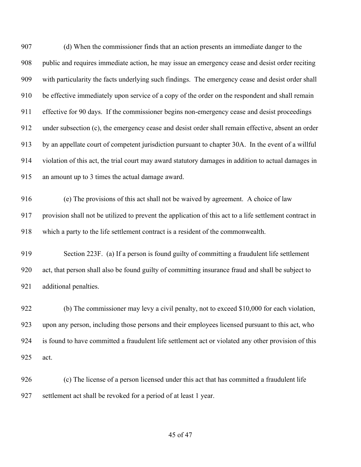(d) When the commissioner finds that an action presents an immediate danger to the public and requires immediate action, he may issue an emergency cease and desist order reciting with particularity the facts underlying such findings. The emergency cease and desist order shall be effective immediately upon service of a copy of the order on the respondent and shall remain effective for 90 days. If the commissioner begins non-emergency cease and desist proceedings under subsection (c), the emergency cease and desist order shall remain effective, absent an order by an appellate court of competent jurisdiction pursuant to chapter 30A. In the event of a willful violation of this act, the trial court may award statutory damages in addition to actual damages in an amount up to 3 times the actual damage award.

 (e) The provisions of this act shall not be waived by agreement. A choice of law provision shall not be utilized to prevent the application of this act to a life settlement contract in which a party to the life settlement contract is a resident of the commonwealth.

 Section 223F. (a) If a person is found guilty of committing a fraudulent life settlement act, that person shall also be found guilty of committing insurance fraud and shall be subject to additional penalties.

 (b) The commissioner may levy a civil penalty, not to exceed \$10,000 for each violation, upon any person, including those persons and their employees licensed pursuant to this act, who is found to have committed a fraudulent life settlement act or violated any other provision of this act.

 (c) The license of a person licensed under this act that has committed a fraudulent life settlement act shall be revoked for a period of at least 1 year.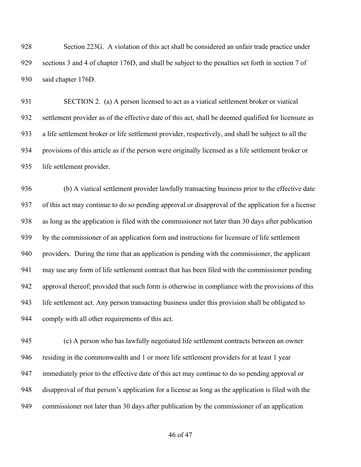Section 223G. A violation of this act shall be considered an unfair trade practice under sections 3 and 4 of chapter 176D, and shall be subject to the penalties set forth in section 7 of said chapter 176D.

 SECTION 2. (a) A person licensed to act as a viatical settlement broker or viatical settlement provider as of the effective date of this act, shall be deemed qualified for licensure as a life settlement broker or life settlement provider, respectively, and shall be subject to all the provisions of this article as if the person were originally licensed as a life settlement broker or life settlement provider.

 (b) A viatical settlement provider lawfully transacting business prior to the effective date of this act may continue to do so pending approval or disapproval of the application for a license as long as the application is filed with the commissioner not later than 30 days after publication by the commissioner of an application form and instructions for licensure of life settlement providers. During the time that an application is pending with the commissioner, the applicant may use any form of life settlement contract that has been filed with the commissioner pending approval thereof; provided that such form is otherwise in compliance with the provisions of this life settlement act. Any person transacting business under this provision shall be obligated to comply with all other requirements of this act.

 (c) A person who has lawfully negotiated life settlement contracts between an owner residing in the commonwealth and 1 or more life settlement providers for at least 1 year immediately prior to the effective date of this act may continue to do so pending approval or disapproval of that person's application for a license as long as the application is filed with the commissioner not later than 30 days after publication by the commissioner of an application